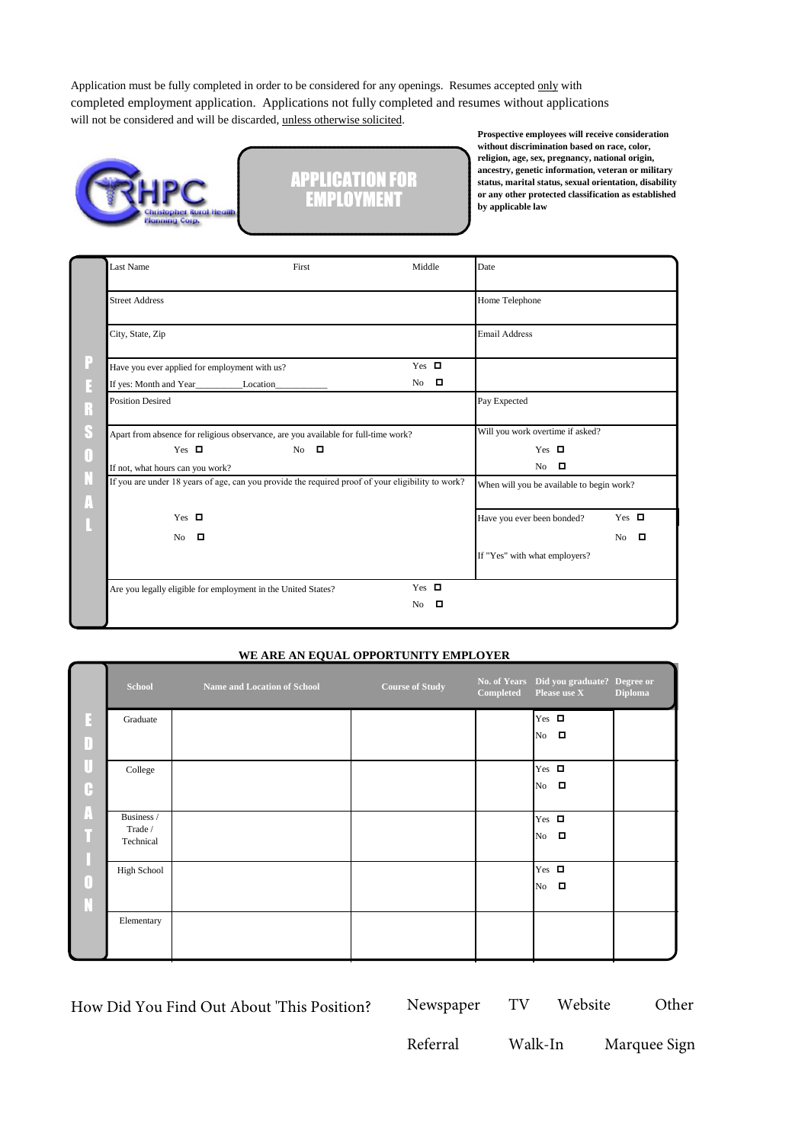Application must be fully completed in order to be considered for any openings. Resumes accepted only with completed employment application. Applications not fully completed and resumes without applications will not be considered and will be discarded, unless otherwise solicited.





**Prospective employees will receive consideration without discrimination based on race, color, religion, age, sex, pregnancy, national origin, ancestry, genetic information, veteran or military status, marital status, sexual orientation, disability or any other protected classification as established by applicable law**

| Last Name                                                                                         | First                                                                              | Middle                                    | Date                             |             |
|---------------------------------------------------------------------------------------------------|------------------------------------------------------------------------------------|-------------------------------------------|----------------------------------|-------------|
| <b>Street Address</b>                                                                             |                                                                                    |                                           | Home Telephone                   |             |
| City, State, Zip                                                                                  |                                                                                    |                                           | <b>Email Address</b>             |             |
| Have you ever applied for employment with us?                                                     |                                                                                    | Yes $\Box$                                |                                  |             |
| If yes: Month and Year_________________Location__________________________________                 |                                                                                    | $\Box$<br>No.                             |                                  |             |
| Position Desired                                                                                  |                                                                                    |                                           | Pay Expected                     |             |
|                                                                                                   | Apart from absence for religious observance, are you available for full-time work? |                                           | Will you work overtime if asked? |             |
| Yes $\Box$                                                                                        | $No$ $\Box$                                                                        |                                           | Yes $\Box$                       |             |
| If not, what hours can you work?                                                                  |                                                                                    |                                           | - 0<br>N <sub>o</sub>            |             |
| If you are under 18 years of age, can you provide the required proof of your eligibility to work? |                                                                                    | When will you be available to begin work? |                                  |             |
| Yes $\Box$                                                                                        |                                                                                    |                                           | Have you ever been bonded?       | Yes $\Box$  |
| - 0<br>No.                                                                                        |                                                                                    |                                           |                                  | $No$ $\Box$ |
|                                                                                                   |                                                                                    |                                           | If "Yes" with what employers?    |             |
| Are you legally eligible for employment in the United States?                                     |                                                                                    | Yes $\Box$                                |                                  |             |
|                                                                                                   |                                                                                    | No<br>п                                   |                                  |             |

#### **WE ARE AN EQUAL OPPORTUNITY EMPLOYER**

|        | <b>School</b>                      | Name and Location of School | <b>Course of Study</b> | Completed | No. of Years Did you graduate? Degree or<br>Please use X | <b>Diploma</b> |
|--------|------------------------------------|-----------------------------|------------------------|-----------|----------------------------------------------------------|----------------|
| B<br>D | Graduate                           |                             |                        |           | Yes $\Box$<br>No $\Box$                                  |                |
| Ū<br>C | College                            |                             |                        |           | Yes $\Box$<br>$No$ $\Box$                                |                |
| A      | Business /<br>Trade /<br>Technical |                             |                        |           | Yes $\Box$<br>$No$ $\Box$                                |                |
| 0<br>N | High School                        |                             |                        |           | Yes $\Box$<br>No $\Box$                                  |                |
|        | Elementary                         |                             |                        |           |                                                          |                |

How Did You Find Out About 'This Position? Newspaper TV Website Other

| Newspaper |  |  |
|-----------|--|--|
|-----------|--|--|

Referral Walk-In Marquee Sign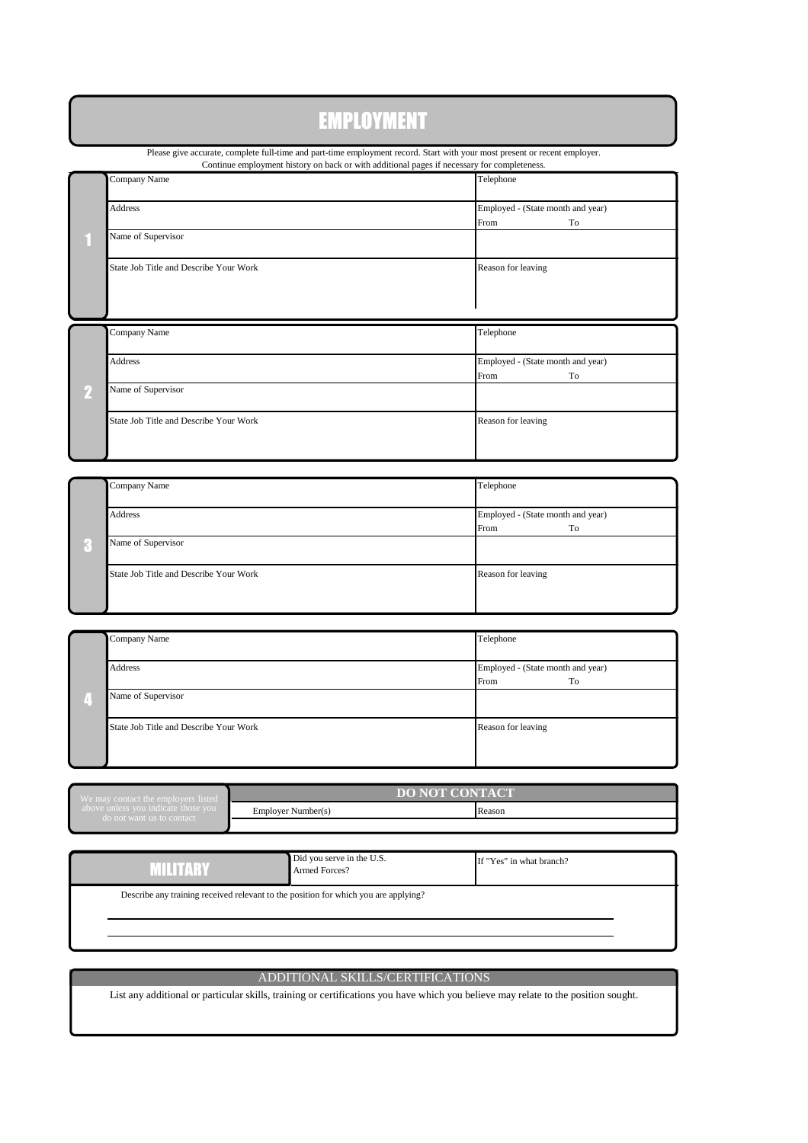# EMPLOYMENT

Please give accurate, complete full-time and part-time employment record. Start with your most present or recent employer. Continue employment history on back or with additional pages if necessary for completeness.

|          |                                        | Commue employment instory on back or with additional pages if necessary for completeness. |
|----------|----------------------------------------|-------------------------------------------------------------------------------------------|
|          | Company Name                           | Telephone                                                                                 |
|          | Address                                | Employed - (State month and year)                                                         |
|          |                                        | From<br>To                                                                                |
|          | Name of Supervisor                     |                                                                                           |
|          | State Job Title and Describe Your Work | Reason for leaving                                                                        |
|          |                                        |                                                                                           |
|          | Company Name                           | Telephone                                                                                 |
|          | Address                                | Employed - (State month and year)                                                         |
|          |                                        | From<br>To                                                                                |
| $\bf{2}$ | Name of Supervisor                     |                                                                                           |
|          | State Job Title and Describe Your Work | Reason for leaving                                                                        |
|          |                                        |                                                                                           |

| Company Name                           | Telephone                                       |
|----------------------------------------|-------------------------------------------------|
| Address                                | Employed - (State month and year)<br>From<br>To |
| Name of Supervisor                     |                                                 |
| State Job Title and Describe Your Work | Reason for leaving                              |

| Company Name                           | Telephone                                       |
|----------------------------------------|-------------------------------------------------|
| Address                                | Employed - (State month and year)<br>To<br>From |
| Name of Supervisor                     |                                                 |
| State Job Title and Describe Your Work | Reason for leaving                              |

| We may contact the employers listed.                             | <b>DO NOT CONTACT</b> |        |  |  |
|------------------------------------------------------------------|-----------------------|--------|--|--|
| above unless you indicate those you<br>do not want us to contact | Employer Number(s)    | Reason |  |  |
|                                                                  |                       |        |  |  |

|         | . . |   |       |  |
|---------|-----|---|-------|--|
|         |     |   |       |  |
| _______ |     | _ | _____ |  |

Did you serve in the U.S.

If "Yes" in what branch?

Describe any training received relevant to the position for which you are applying?

Armed Forces?

## ADDITIONAL SKILLS/CERTIFICATIONS

List any additional or particular skills, training or certifications you have which you believe may relate to the position sought.